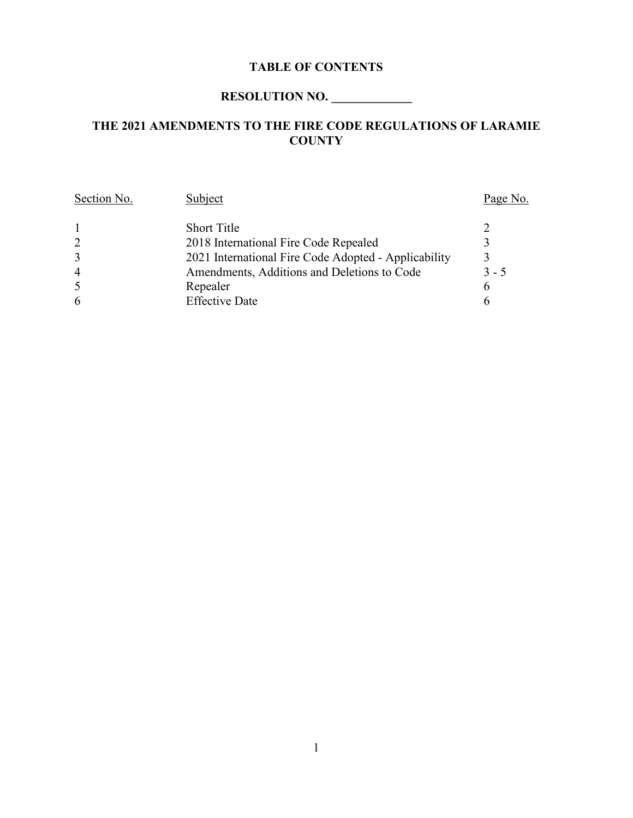## **TABLE OF CONTENTS**

# **RESOLUTION NO. \_\_\_\_\_\_\_\_\_\_\_\_\_**

## **THE 2021 AMENDMENTS TO THE FIRE CODE REGULATIONS OF LARAMIE COUNTY**

| Section No.    | Subject                                              | Page No.    |
|----------------|------------------------------------------------------|-------------|
|                | <b>Short Title</b>                                   |             |
| 2              | 2018 International Fire Code Repealed                | $\mathbf 3$ |
| 3              | 2021 International Fire Code Adopted - Applicability |             |
| $\overline{4}$ | Amendments, Additions and Deletions to Code          | $3 - 5$     |
| 5              | Repealer                                             | 6           |
| 6              | <b>Effective Date</b>                                | 6           |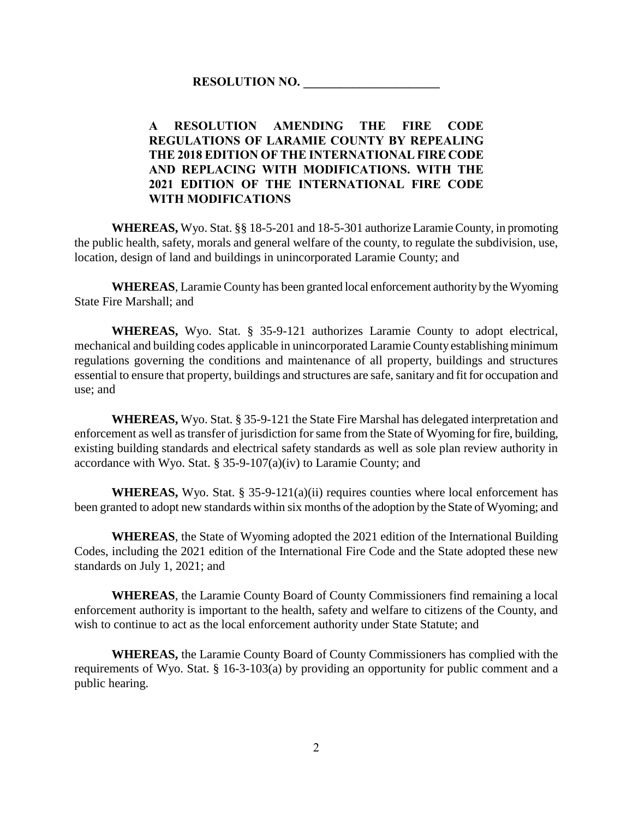## **A RESOLUTION AMENDING THE FIRE CODE REGULATIONS OF LARAMIE COUNTY BY REPEALING THE 2018 EDITION OF THE INTERNATIONAL FIRE CODE AND REPLACING WITH MODIFICATIONS. WITH THE 2021 EDITION OF THE INTERNATIONAL FIRE CODE WITH MODIFICATIONS**

**WHEREAS,** Wyo. Stat. §§ 18-5-201 and 18-5-301 authorize Laramie County, in promoting the public health, safety, morals and general welfare of the county, to regulate the subdivision, use, location, design of land and buildings in unincorporated Laramie County; and

**WHEREAS**, Laramie County has been granted local enforcement authority by the Wyoming State Fire Marshall; and

**WHEREAS,** Wyo. Stat. § 35-9-121 authorizes Laramie County to adopt electrical, mechanical and building codes applicable in unincorporated Laramie County establishing minimum regulations governing the conditions and maintenance of all property, buildings and structures essential to ensure that property, buildings and structures are safe, sanitary and fit for occupation and use; and

**WHEREAS,** Wyo. Stat. § 35-9-121 the State Fire Marshal has delegated interpretation and enforcement as well as transfer of jurisdiction for same from the State of Wyoming for fire, building, existing building standards and electrical safety standards as well as sole plan review authority in accordance with Wyo. Stat. § 35-9-107(a)(iv) to Laramie County; and

**WHEREAS,** Wyo. Stat. § 35-9-121(a)(ii) requires counties where local enforcement has been granted to adopt new standards within six months of the adoption by the State of Wyoming; and

**WHEREAS**, the State of Wyoming adopted the 2021 edition of the International Building Codes, including the 2021 edition of the International Fire Code and the State adopted these new standards on July 1, 2021; and

**WHEREAS**, the Laramie County Board of County Commissioners find remaining a local enforcement authority is important to the health, safety and welfare to citizens of the County, and wish to continue to act as the local enforcement authority under State Statute; and

**WHEREAS,** the Laramie County Board of County Commissioners has complied with the requirements of Wyo. Stat. § 16-3-103(a) by providing an opportunity for public comment and a public hearing.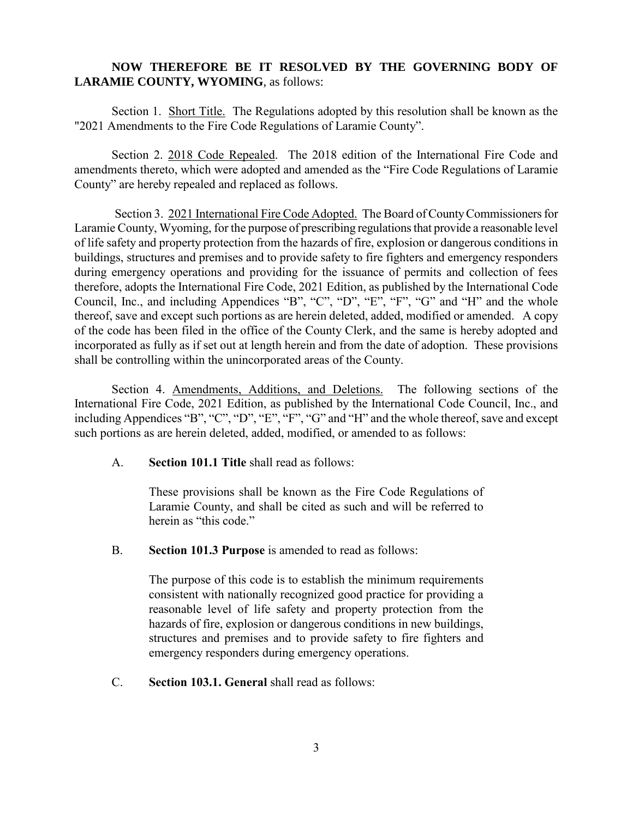### **NOW THEREFORE BE IT RESOLVED BY THE GOVERNING BODY OF LARAMIE COUNTY, WYOMING**, as follows:

Section 1. Short Title. The Regulations adopted by this resolution shall be known as the "2021 Amendments to the Fire Code Regulations of Laramie County".

Section 2. 2018 Code Repealed. The 2018 edition of the International Fire Code and amendments thereto, which were adopted and amended as the "Fire Code Regulations of Laramie County" are hereby repealed and replaced as follows.

Section 3. 2021 International Fire Code Adopted. The Board of County Commissioners for Laramie County, Wyoming, for the purpose of prescribing regulations that provide a reasonable level of life safety and property protection from the hazards of fire, explosion or dangerous conditions in buildings, structures and premises and to provide safety to fire fighters and emergency responders during emergency operations and providing for the issuance of permits and collection of fees therefore, adopts the International Fire Code, 2021 Edition, as published by the International Code Council, Inc., and including Appendices "B", "C", "D", "E", "F", "G" and "H" and the whole thereof, save and except such portions as are herein deleted, added, modified or amended. A copy of the code has been filed in the office of the County Clerk, and the same is hereby adopted and incorporated as fully as if set out at length herein and from the date of adoption. These provisions shall be controlling within the unincorporated areas of the County.

Section 4. Amendments, Additions, and Deletions. The following sections of the International Fire Code, 2021 Edition, as published by the International Code Council, Inc., and including Appendices "B", "C", "D", "E", "F", "G" and "H" and the whole thereof, save and except such portions as are herein deleted, added, modified, or amended to as follows:

A. **Section 101.1 Title** shall read as follows:

These provisions shall be known as the Fire Code Regulations of Laramie County, and shall be cited as such and will be referred to herein as "this code."

B. **Section 101.3 Purpose** is amended to read as follows:

The purpose of this code is to establish the minimum requirements consistent with nationally recognized good practice for providing a reasonable level of life safety and property protection from the hazards of fire, explosion or dangerous conditions in new buildings, structures and premises and to provide safety to fire fighters and emergency responders during emergency operations.

C. **Section 103.1. General** shall read as follows: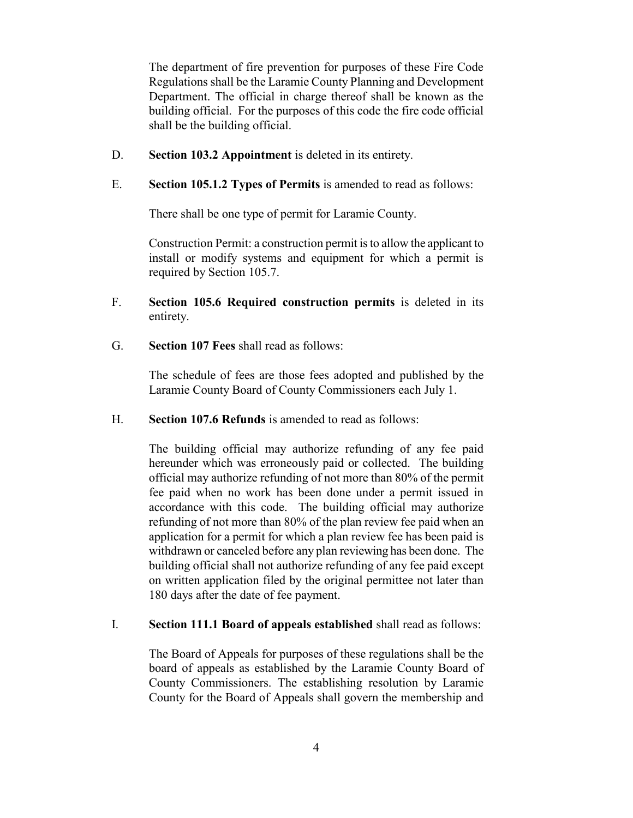The department of fire prevention for purposes of these Fire Code Regulations shall be the Laramie County Planning and Development Department. The official in charge thereof shall be known as the building official. For the purposes of this code the fire code official shall be the building official.

- D. **Section 103.2 Appointment** is deleted in its entirety.
- E. **Section 105.1.2 Types of Permits** is amended to read as follows:

There shall be one type of permit for Laramie County.

Construction Permit: a construction permit is to allow the applicant to install or modify systems and equipment for which a permit is required by Section 105.7.

- F. **Section 105.6 Required construction permits** is deleted in its entirety.
- G. **Section 107 Fees** shall read as follows:

The schedule of fees are those fees adopted and published by the Laramie County Board of County Commissioners each July 1.

H. **Section 107.6 Refunds** is amended to read as follows:

The building official may authorize refunding of any fee paid hereunder which was erroneously paid or collected. The building official may authorize refunding of not more than 80% of the permit fee paid when no work has been done under a permit issued in accordance with this code. The building official may authorize refunding of not more than 80% of the plan review fee paid when an application for a permit for which a plan review fee has been paid is withdrawn or canceled before any plan reviewing has been done. The building official shall not authorize refunding of any fee paid except on written application filed by the original permittee not later than 180 days after the date of fee payment.

#### I. **Section 111.1 Board of appeals established** shall read as follows:

The Board of Appeals for purposes of these regulations shall be the board of appeals as established by the Laramie County Board of County Commissioners. The establishing resolution by Laramie County for the Board of Appeals shall govern the membership and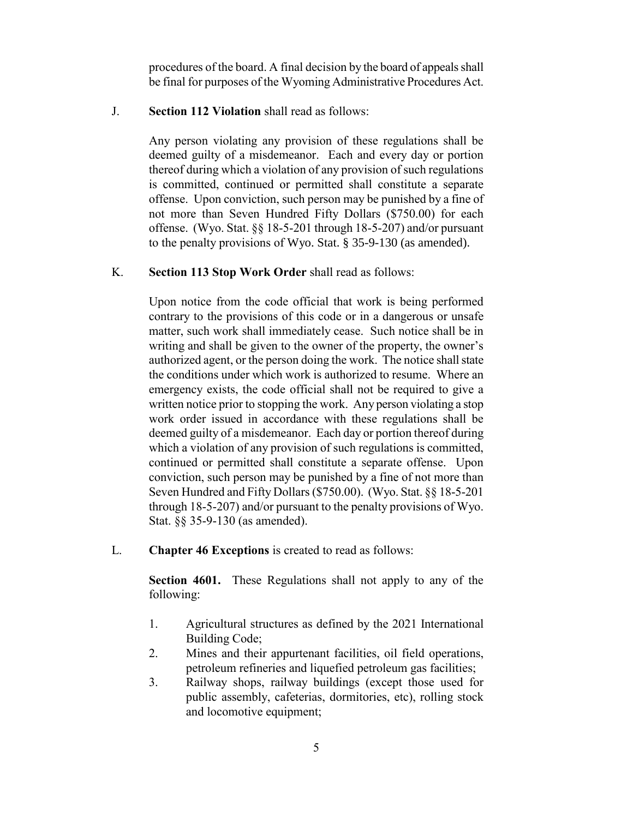procedures of the board. A final decision by the board of appeals shall be final for purposes of the Wyoming Administrative Procedures Act.

#### J. **Section 112 Violation** shall read as follows:

Any person violating any provision of these regulations shall be deemed guilty of a misdemeanor. Each and every day or portion thereof during which a violation of any provision of such regulations is committed, continued or permitted shall constitute a separate offense. Upon conviction, such person may be punished by a fine of not more than Seven Hundred Fifty Dollars (\$750.00) for each offense. (Wyo. Stat. §§ 18-5-201 through 18-5-207) and/or pursuant to the penalty provisions of Wyo. Stat. § 35-9-130 (as amended).

#### K. **Section 113 Stop Work Order** shall read as follows:

Upon notice from the code official that work is being performed contrary to the provisions of this code or in a dangerous or unsafe matter, such work shall immediately cease. Such notice shall be in writing and shall be given to the owner of the property, the owner's authorized agent, or the person doing the work. The notice shall state the conditions under which work is authorized to resume. Where an emergency exists, the code official shall not be required to give a written notice prior to stopping the work. Any person violating a stop work order issued in accordance with these regulations shall be deemed guilty of a misdemeanor. Each day or portion thereof during which a violation of any provision of such regulations is committed, continued or permitted shall constitute a separate offense. Upon conviction, such person may be punished by a fine of not more than Seven Hundred and Fifty Dollars (\$750.00). (Wyo. Stat. §§ 18-5-201 through 18-5-207) and/or pursuant to the penalty provisions of Wyo. Stat. §§ 35-9-130 (as amended).

L. **Chapter 46 Exceptions** is created to read as follows:

**Section 4601.** These Regulations shall not apply to any of the following:

- 1. Agricultural structures as defined by the 2021 International Building Code;
- 2. Mines and their appurtenant facilities, oil field operations, petroleum refineries and liquefied petroleum gas facilities;
- 3. Railway shops, railway buildings (except those used for public assembly, cafeterias, dormitories, etc), rolling stock and locomotive equipment;